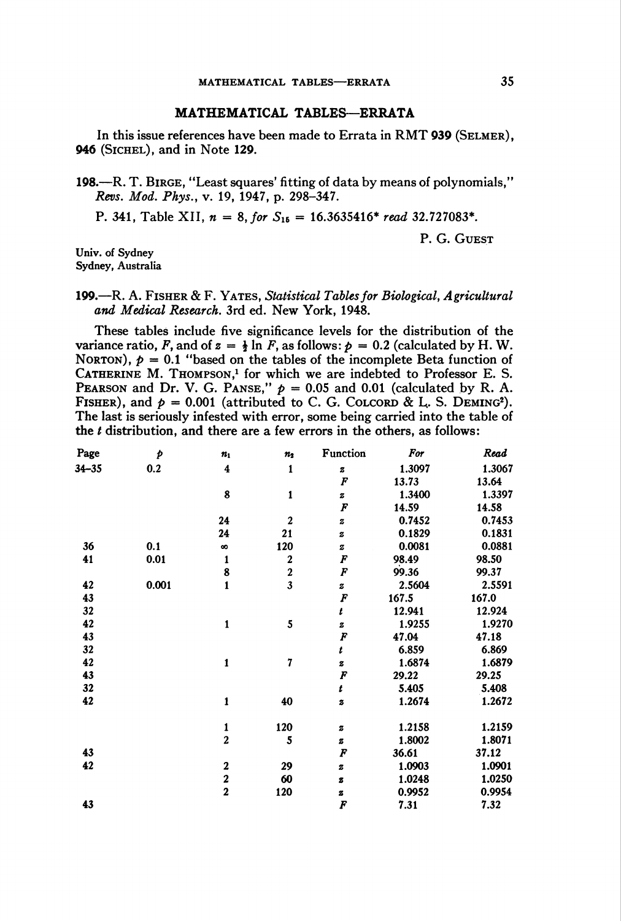## MATHEMATICAL TABLES—ERRATA

In this issue references have been made to Errata in RMT 939 (SELMER). 946 (Sichel), and in Note 129.

198.—R. T. Birge, "Least squares' fitting of data by means of polynomials," Revs. Mod. Phys., v. 19, 1947, p. 298-347.

P. 341, Table XII,  $n = 8$ , for  $S_{15} = 16.3635416*$  read 32.727083\*.

P. G. Guest

Univ. of Sydney Sydney, Australia

## 199.—R. A. Fisher & F. Yates, Statistical Tables for Biological, Agricultural and Medical Research. 3rd ed. New York, 1948.

These tables include five significance levels for the distribution of the variance ratio, F, and of  $z = \frac{1}{2} \ln F$ , as follows:  $p = 0.2$  (calculated by H.W. NORTON),  $p = 0.1$  "based on the tables of the incomplete Beta function of CATHERINE M. THOMPSON,<sup>1</sup> for which we are indebted to Professor E. S. PEARSON and Dr. V. G. PANSE,"  $p = 0.05$  and 0.01 (calculated by R. A. FISHER), and  $p = 0.001$  (attributed to C. G. COLCORD & L. S. DEMING<sup>2</sup>). The last is seriously infested with error, some being carried into the table of the  $t$  distribution, and there are a few errors in the others, as follows:

| Page      | Þ     | $n_1$                   | $n_{2}$          | Function         | For    | Read   |
|-----------|-------|-------------------------|------------------|------------------|--------|--------|
| $34 - 35$ | 0.2   | $\overline{\mathbf{4}}$ | 1                | z                | 1.3097 | 1.3067 |
|           |       |                         |                  | F                | 13.73  | 13.64  |
|           |       | 8                       | $\mathbf{1}$     | z                | 1.3400 | 1.3397 |
|           |       |                         |                  | F                | 14.59  | 14.58  |
|           |       | 24                      | $\mathbf{2}$     | $\bf{z}$         | 0.7452 | 0.7453 |
|           |       | 24                      | 21               | $\boldsymbol{z}$ | 0.1829 | 0.1831 |
| 36        | 0.1   | $\infty$                | 120              | $\mathbf z$      | 0.0081 | 0.0881 |
| 41        | 0.01  | $\mathbf{1}$            | $\boldsymbol{2}$ | F                | 98.49  | 98.50  |
|           |       | 8                       | $\frac{2}{3}$    | F                | 99.36  | 99.37  |
| 42        | 0.001 | $\mathbf{1}$            |                  | z                | 2.5604 | 2.5591 |
| 43        |       |                         |                  | F                | 167.5  | 167.0  |
| 32        |       |                         |                  | t                | 12.941 | 12.924 |
| 42        |       | $\mathbf{1}$            | 5                | $\boldsymbol{z}$ | 1.9255 | 1.9270 |
| 43        |       |                         |                  | F                | 47.04  | 47.18  |
| 32        |       |                         |                  | t                | 6.859  | 6.869  |
| 42        |       | 1                       | 7                | z                | 1.6874 | 1.6879 |
| 43        |       |                         |                  | F                | 29.22  | 29.25  |
| 32        |       |                         |                  | t                | 5.405  | 5.408  |
| 42        |       | 1                       | 40               | 3                | 1.2674 | 1.2672 |
|           |       | 1                       | 120              | $\mathbf z$      | 1.2158 | 1.2159 |
|           |       | $\overline{2}$          | 5                | g                | 1.8002 | 1.8071 |
| 43        |       |                         |                  | F                | 36.61  | 37.12  |
| 42        |       | $\boldsymbol{2}$        | 29               | z                | 1.0903 | 1.0901 |
|           |       | $\frac{2}{2}$           | 60               | 8                | 1.0248 | 1.0250 |
|           |       |                         | 120              | z                | 0.9952 | 0.9954 |
| 43        |       |                         |                  | F                | 7.31   | 7.32   |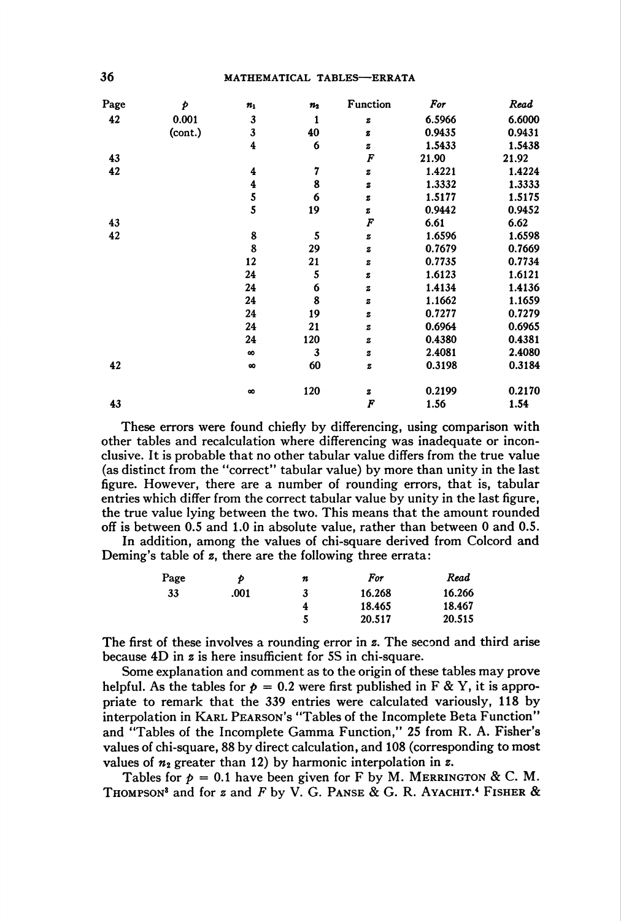| Page | Þ       | $\pmb{n}_1$   | $\boldsymbol{n_2}$ | Function         | For    | Read   |
|------|---------|---------------|--------------------|------------------|--------|--------|
| 42   | 0.001   | 3             | 1                  | z                | 6.5966 | 6.6000 |
|      | (cont.) | 3             | 40                 | g                | 0.9435 | 0.9431 |
|      |         | 4             | 6                  | 2                | 1.5433 | 1.5438 |
| 43   |         |               |                    | F                | 21.90  | 21.92  |
| 42   |         | 4             | 7                  | z                | 1.4221 | 1.4224 |
|      |         | $\ddagger$    | 8                  | z                | 1.3332 | 1.3333 |
|      |         | $\frac{5}{5}$ | 6                  | z                | 1.5177 | 1.5175 |
|      |         |               | 19                 | z                | 0.9442 | 0.9452 |
| 43   |         |               |                    | F                | 6.61   | 6.62   |
| 42   |         | 8             | 5                  | z                | 1.6596 | 1.6598 |
|      |         | 8             | 29                 | $\boldsymbol{z}$ | 0.7679 | 0.7669 |
|      |         | 12            | 21                 | z                | 0.7735 | 0.7734 |
|      |         | 24            | 5                  | z                | 1.6123 | 1.6121 |
|      |         | 24            | 6                  | z                | 1.4134 | 1.4136 |
|      |         | 24            | 8                  | 2                | 1.1662 | 1.1659 |
|      |         | 24            | 19                 | z                | 0.7277 | 0.7279 |
|      |         | 24            | 21                 | z                | 0.6964 | 0.6965 |
|      |         | 24            | 120                | z                | 0.4380 | 0.4381 |
|      |         | $\infty$      | 3                  | $\mathbf z$      | 2.4081 | 2.4080 |
| 42   |         | $\infty$      | 60                 | z                | 0.3198 | 0.3184 |
|      |         | $\infty$      | 120                | z                | 0.2199 | 0.2170 |
| 43   |         |               |                    | F                | 1.56   | 1.54   |

These errors were found chiefly by differencing, using comparison with other tables and recalculation where differencing was inadequate or inconclusive. It is probable that no other tabular value differs from the true value (as distinct from the "correct" tabular value) by more than unity in the last figure. However, there are a number of rounding errors, that is, tabular entries which differ from the correct tabular value by unity in the last figure, the true value lying between the two. This means that the amount rounded off is between 0.5 and 1.0 in absolute value, rather than between 0 and 0.5.

In addition, among the values of chi-square derived from Colcord and Deming's table of z, there are the following three errata:

| Page | Þ    | n | For    | Read   |
|------|------|---|--------|--------|
| 33   | .001 | 3 | 16.268 | 16.266 |
|      |      | 4 | 18.465 | 18.467 |
|      |      |   | 20.517 | 20.515 |

The first of these involves a rounding error in z. The second and third arise because 4D in z is here insufficient for 5S in chi-square.

Some explanation and comment as to the origin of these tables may prove helpful. As the tables for  $p = 0.2$  were first published in F & Y, it is appropriate to remark that the 339 entries were calculated variously, 118 by interpolation in KARL PEARSON's "Tables of the Incomplete Beta Function" and "Tables of the Incomplete Gamma Function," 25 from R. A. Fisher's values of chi-square, 88 by direct calculation, and 108 (corresponding to most values of  $n_2$  greater than 12) by harmonic interpolation in z.

Tables for  $p = 0.1$  have been given for F by M. MERRINGTON & C. M. THOMPSON<sup>3</sup> and for z and F by V. G. PANSE & G. R. AYACHIT.<sup>4</sup> FISHER &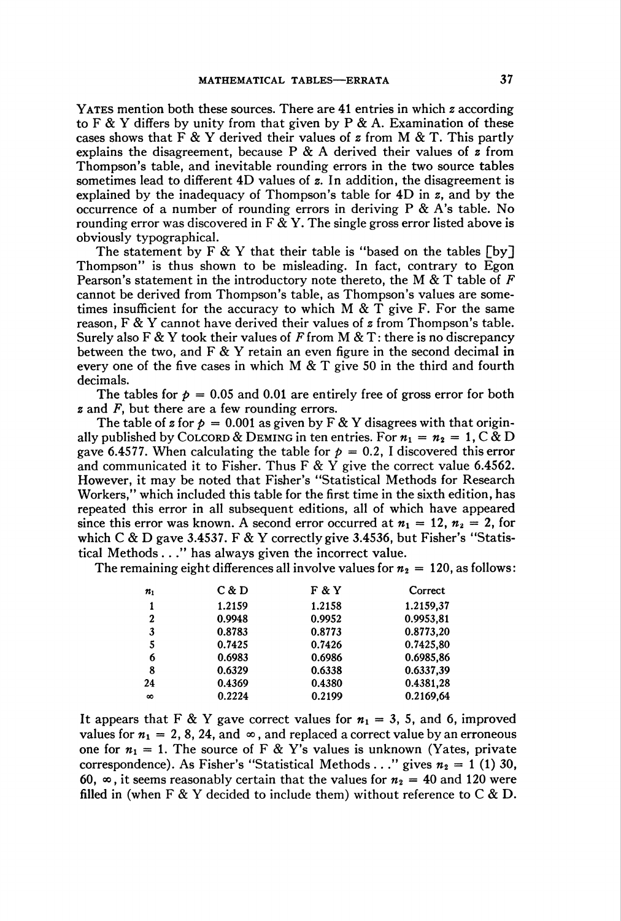YATES mention both these sources. There are 41 entries in which  $\boldsymbol{z}$  according to F & Y differs by unity from that given by P & A. Examination of these cases shows that F & Y derived their values of z from M & T. This partly explains the disagreement, because P  $\&$  A derived their values of z from Thompson's table, and inevitable rounding errors in the two source tables sometimes lead to different  $4D$  values of z. In addition, the disagreement is explained by the inadequacy of Thompson's table for  $4D$  in  $z$ , and by the occurrence of a number of rounding errors in deriving  $P \& A$ 's table. No rounding error was discovered in F & Y. The single gross error listed above is obviously typographical.

The statement by  $F \& Y$  that their table is "based on the tables  $\lceil by \rceil$ Thompson" is thus shown to be misleading. In fact, contrary to Egon Pearson's statement in the introductory note thereto, the M  $&$  T table of F cannot be derived from Thompson's table, as Thompson's values are sometimes insufficient for the accuracy to which  $M \& T$  give F. For the same reason,  $F \& Y$  cannot have derived their values of  $z$  from Thompson's table. Surely also F & Y took their values of F from M & T: there is no discrepancy between the two, and  $F \& Y$  retain an even figure in the second decimal in every one of the five cases in which M  $\&$  T give 50 in the third and fourth decimals.

The tables for  $p = 0.05$  and 0.01 are entirely free of gross error for both  $\boldsymbol{z}$  and  $\boldsymbol{F}$ , but there are a few rounding errors.

The table of z for  $p = 0.001$  as given by F & Y disagrees with that originally published by COLCORD & DEMING in ten entries. For  $n_1 = n_2 = 1$ , C & D gave 6.4577. When calculating the table for  $p = 0.2$ , I discovered this error and communicated it to Fisher. Thus F & Y give the correct value 6.4562. However, it may be noted that Fisher's "Statistical Methods for Research Workers," which included this table for the first time in the sixth edition, has repeated this error in all subsequent editions, all of which have appeared since this error was known. A second error occurred at  $n_1 = 12, n_2 = 2$ , for which C & D gave 3.4537. F & Y correctly give 3.4536, but Fisher's "Statistical Methods ..." has always given the incorrect value.

The remaining eight differences all involve values for  $n_2 = 120$ , as follows:

| $\pmb{n}_1$      | C & D  | F & Y  | Correct   |
|------------------|--------|--------|-----------|
| 1                | 1.2159 | 1.2158 | 1.2159,37 |
| $\boldsymbol{2}$ | 0.9948 | 0.9952 | 0.9953,81 |
| 3                | 0.8783 | 0.8773 | 0.8773.20 |
| 5                | 0.7425 | 0.7426 | 0.7425.80 |
| 6                | 0.6983 | 0.6986 | 0.6985,86 |
| 8                | 0.6329 | 0.6338 | 0.6337,39 |
| 24               | 0.4369 | 0.4380 | 0.4381,28 |
| $\infty$         | 0.2224 | 0.2199 | 0.2169,64 |

It appears that F & Y gave correct values for  $n_1 = 3$ , 5, and 6, improved values for  $n_1 = 2, 8, 24$ , and  $\infty$ , and replaced a correct value by an erroneous one for  $n_1 = 1$ . The source of F & Y's values is unknown (Yates, private correspondence). As Fisher's "Statistical Methods . . ." gives  $n_2 = 1$  (1) 30, 60,  $\infty$ , it seems reasonably certain that the values for  $n_2 = 40$  and 120 were filled in (when F & Y decided to include them) without reference to C & D.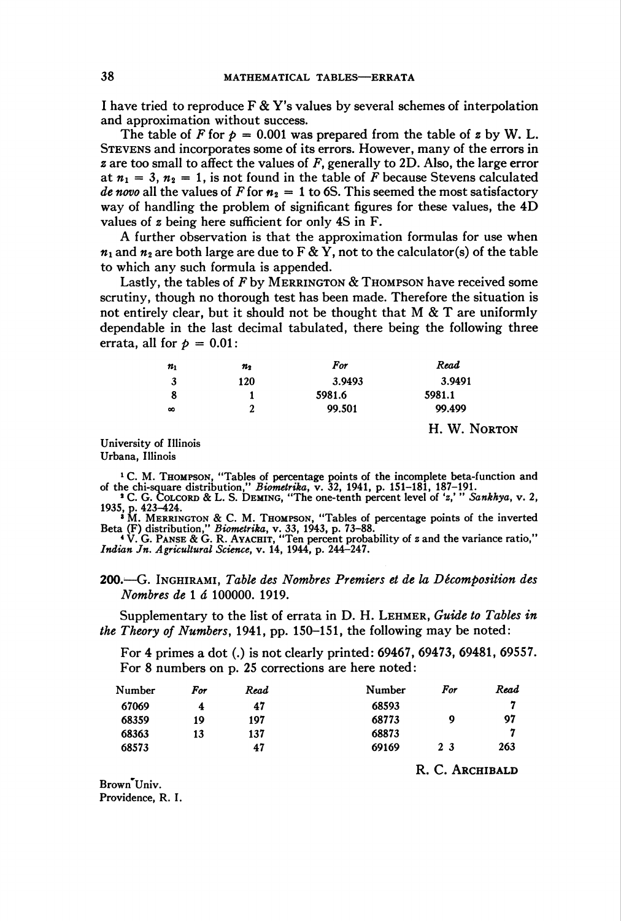I have tried to reproduce  $\mathbf{F} \& \mathbf{Y}'$  values by several schemes of interpolation and approximation without success.

The table of F for  $p = 0.001$  was prepared from the table of z by W. L. Stevens and incorporates some of its errors. However, many of the errors in  $\boldsymbol{z}$  are too small to affect the values of  $\boldsymbol{F}$ , generally to 2D. Also, the large error at  $n_1 = 3$ ,  $n_2 = 1$ , is not found in the table of F because Stevens calculated de novo all the values of F for  $n_2 = 1$  to 6S. This seemed the most satisfactory way of handling the problem of significant figures for these values, the 4D values of z being here sufficient for only 4S in F.

A further observation is that the approximation formulas for use when  $n_1$  and  $n_2$  are both large are due to F & Y, not to the calculator(s) of the table to which any such formula is appended.

Lastly, the tables of  $F$  by MERRINGTON  $&$  Thompson have received some scrutiny, though no thorough test has been made. Therefore the situation is not entirely clear, but it should not be thought that  $M \& T$  are uniformly dependable in the last decimal tabulated, there being the following three errata, all for  $p = 0.01$ :

| $n_{1}$  | $n_{2}$ | For    | Read         |
|----------|---------|--------|--------------|
| 3        | 120     | 3.9493 | 3.9491       |
|          |         | 5981.6 | 5981.1       |
| $\infty$ | 2       | 99.501 | 99.499       |
|          |         |        | H. W. NORTON |

University of Illinois Urbana, Illinois

<sup>1</sup> C. M. THOMPSON, "Tables of percentage points of the incomplete beta-function and of the chi-square distribution," *Biometrika*, v. 32, 1941, p. 151–181, 187–191.<br>
<sup>2</sup> C. G. COLCORD & L. S. DEMING, "The one-tenth perce

<sup>3</sup> M. MERRINGTON & C. M. THOMPSON, "Tables of percentage points of the inverte Beta (F) distribution," *Biometrika*, v. 33, 1943, p. 73–88.<br>
<sup>4</sup> V. G. PANSE & G. R. AYACHIT, "Ten percent probability of *z* and the varianc

Indian Jn. Agricultural Science, v. 14, 1944, p. 244-247.

200.—G. Inghirami, Table des Nombres Premiers et de la Décomposition des Nombres de 1 á 100000. 1919.

Supplementary to the list of errata in D. H. LEHMER, Guide to Tables in the Theory of Numbers, 1941, pp. 150-151, the following may be noted:

For 4 primes a dot (.) is not clearly printed: 69467, 69473, 69481, 69557. For 8 numbers on p. 25 corrections are here noted:

| Number | <b>For</b> | Read | Number | For           | Read |
|--------|------------|------|--------|---------------|------|
| 67069  | 4          | 47   | 68593  |               | 7    |
| 68359  | 19         | 197  | 68773  | 9             | 97   |
| 68363  | 13         | 137  | 68873  |               | 7    |
| 68573  |            | 47   | 69169  | 23            | 263  |
|        |            |      |        | - -<br>$\sim$ |      |

R. C. Archibald

Brown Univ. Providence, R. I.